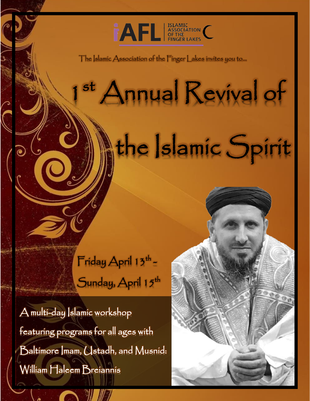

The Islamic Association of the Finger Lakes invites you to…

# st Annual Revival of the Islamic Spirit

Į

 $\mathsf{Friday}$  April 13th – Sunday, April 15<sup>th</sup>

A multi-day Islamic workshop featuring programs for all ages with Baltimore Imam, Ustadh, and Musnid: William Haleem Breiannis

1911